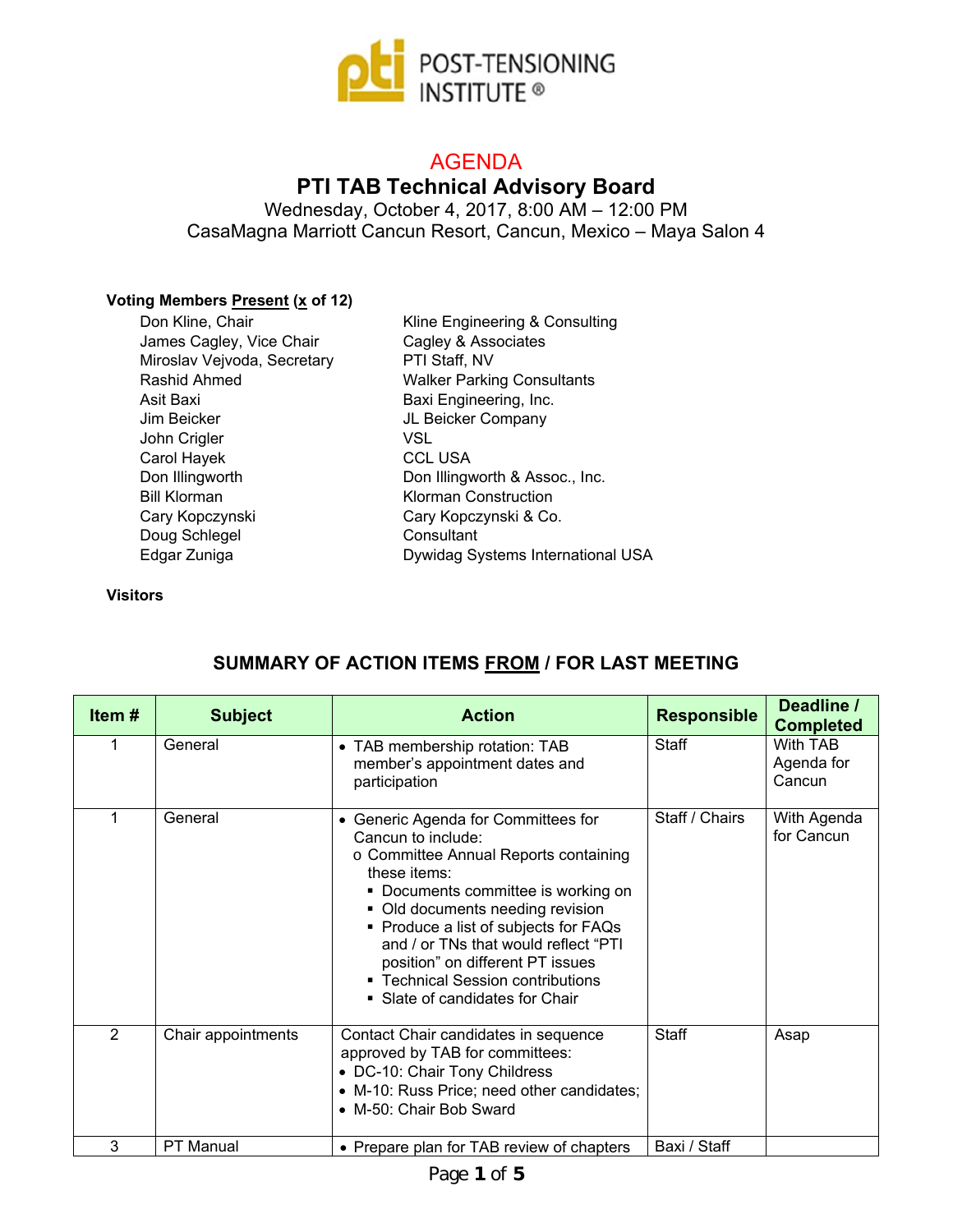

# AGENDA

## **PTI TAB Technical Advisory Board**

Wednesday, October 4, 2017, 8:00 AM – 12:00 PM CasaMagna Marriott Cancun Resort, Cancun, Mexico – Maya Salon 4

#### **Voting Members Present (x of 12)**

Don Kline, Chair James Cagley, Vice Chair Miroslav Vejvoda, Secretary Rashid Ahmed Asit Baxi Jim Beicker John Crigler Carol Hayek Don Illingworth Bill Klorman Cary Kopczynski Doug Schlegel Edgar Zuniga

Kline Engineering & Consulting Cagley & Associates PTI Staff, NV Walker Parking Consultants Baxi Engineering, Inc. JL Beicker Company VSL CCL USA Don Illingworth & Assoc., Inc. Klorman Construction Cary Kopczynski & Co. **Consultant** Dywidag Systems International USA

#### **Visitors**

| Item# | <b>Subject</b>     | <b>Action</b>                                                                                                                                                                                                                                                                                                                                                                                 | <b>Responsible</b> | Deadline /<br><b>Completed</b>   |
|-------|--------------------|-----------------------------------------------------------------------------------------------------------------------------------------------------------------------------------------------------------------------------------------------------------------------------------------------------------------------------------------------------------------------------------------------|--------------------|----------------------------------|
| 1     | General            | • TAB membership rotation: TAB<br>member's appointment dates and<br>participation                                                                                                                                                                                                                                                                                                             | Staff              | With TAB<br>Agenda for<br>Cancun |
|       | General            | • Generic Agenda for Committees for<br>Cancun to include:<br>○ Committee Annual Reports containing<br>these items:<br>Documents committee is working on<br>٠<br>• Old documents needing revision<br>• Produce a list of subjects for FAQs<br>and / or TNs that would reflect "PTI<br>position" on different PT issues<br>■ Technical Session contributions<br>• Slate of candidates for Chair | Staff / Chairs     | With Agenda<br>for Cancun        |
| 2     | Chair appointments | Contact Chair candidates in sequence<br>approved by TAB for committees:<br>• DC-10: Chair Tony Childress<br>• M-10: Russ Price; need other candidates;<br>• M-50: Chair Bob Sward                                                                                                                                                                                                             | <b>Staff</b>       | Asap                             |
| 3     | <b>PT Manual</b>   | • Prepare plan for TAB review of chapters                                                                                                                                                                                                                                                                                                                                                     | Baxi / Staff       |                                  |

### **SUMMARY OF ACTION ITEMS FROM / FOR LAST MEETING**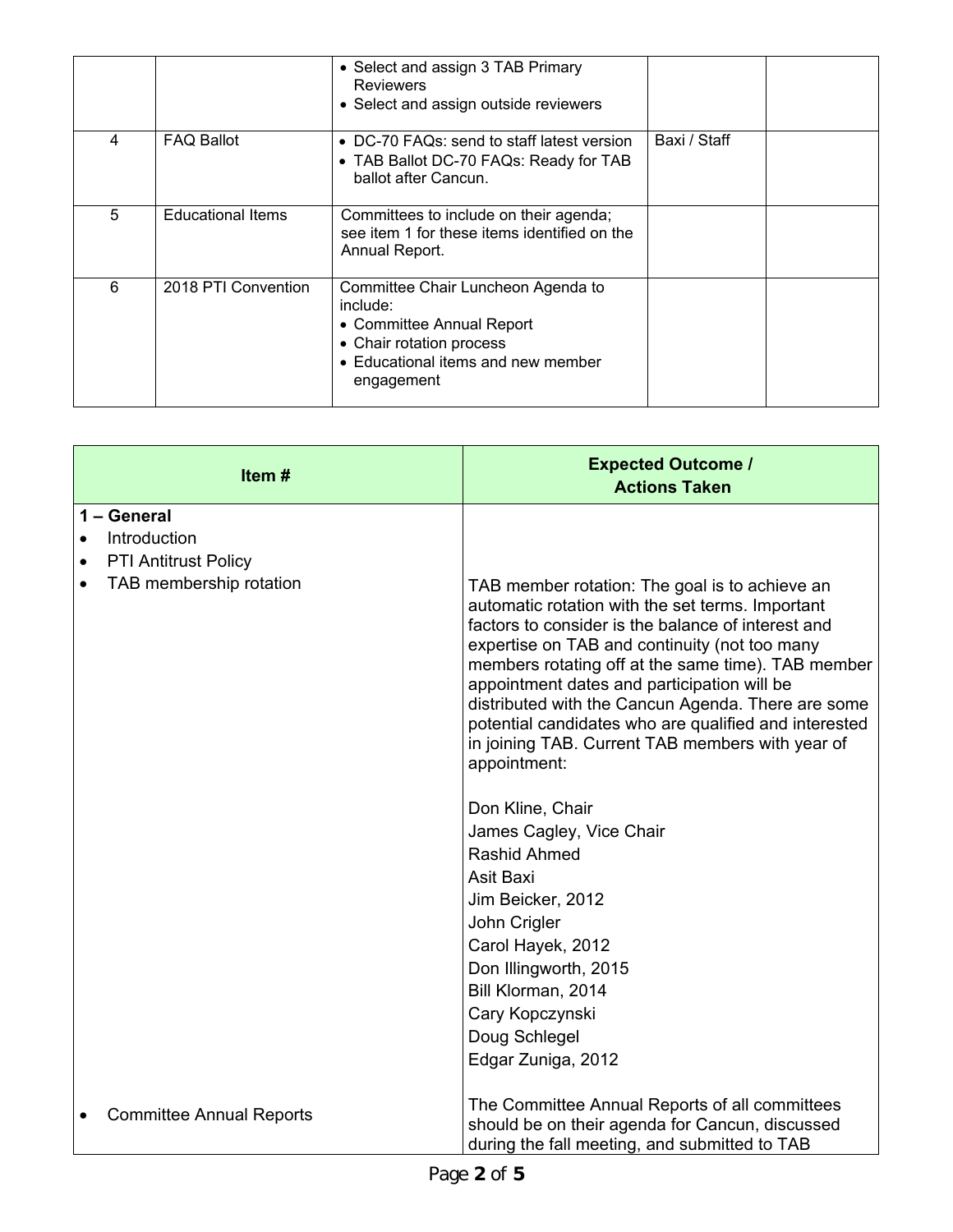|   |                          | • Select and assign 3 TAB Primary<br><b>Reviewers</b><br>• Select and assign outside reviewers                                                              |              |  |
|---|--------------------------|-------------------------------------------------------------------------------------------------------------------------------------------------------------|--------------|--|
| 4 | <b>FAQ Ballot</b>        | • DC-70 FAQs: send to staff latest version<br>• TAB Ballot DC-70 FAQs: Ready for TAB<br>ballot after Cancun.                                                | Baxi / Staff |  |
| 5 | <b>Educational Items</b> | Committees to include on their agenda;<br>see item 1 for these items identified on the<br>Annual Report.                                                    |              |  |
| 6 | 2018 PTI Convention      | Committee Chair Luncheon Agenda to<br>include:<br>• Committee Annual Report<br>• Chair rotation process<br>• Educational items and new member<br>engagement |              |  |

| Item#                           | <b>Expected Outcome /</b><br><b>Actions Taken</b>                                                                                                                                                                                                                                                                                                                                                                                                                                                 |
|---------------------------------|---------------------------------------------------------------------------------------------------------------------------------------------------------------------------------------------------------------------------------------------------------------------------------------------------------------------------------------------------------------------------------------------------------------------------------------------------------------------------------------------------|
| 1 - General                     |                                                                                                                                                                                                                                                                                                                                                                                                                                                                                                   |
| Introduction                    |                                                                                                                                                                                                                                                                                                                                                                                                                                                                                                   |
| <b>PTI Antitrust Policy</b>     |                                                                                                                                                                                                                                                                                                                                                                                                                                                                                                   |
| TAB membership rotation         | TAB member rotation: The goal is to achieve an<br>automatic rotation with the set terms. Important<br>factors to consider is the balance of interest and<br>expertise on TAB and continuity (not too many<br>members rotating off at the same time). TAB member<br>appointment dates and participation will be<br>distributed with the Cancun Agenda. There are some<br>potential candidates who are qualified and interested<br>in joining TAB. Current TAB members with year of<br>appointment: |
|                                 | Don Kline, Chair                                                                                                                                                                                                                                                                                                                                                                                                                                                                                  |
|                                 | James Cagley, Vice Chair                                                                                                                                                                                                                                                                                                                                                                                                                                                                          |
|                                 | Rashid Ahmed                                                                                                                                                                                                                                                                                                                                                                                                                                                                                      |
|                                 | Asit Baxi                                                                                                                                                                                                                                                                                                                                                                                                                                                                                         |
|                                 | Jim Beicker, 2012                                                                                                                                                                                                                                                                                                                                                                                                                                                                                 |
|                                 | John Crigler                                                                                                                                                                                                                                                                                                                                                                                                                                                                                      |
|                                 | Carol Hayek, 2012                                                                                                                                                                                                                                                                                                                                                                                                                                                                                 |
|                                 | Don Illingworth, 2015                                                                                                                                                                                                                                                                                                                                                                                                                                                                             |
|                                 | Bill Klorman, 2014                                                                                                                                                                                                                                                                                                                                                                                                                                                                                |
|                                 | Cary Kopczynski<br>Doug Schlegel                                                                                                                                                                                                                                                                                                                                                                                                                                                                  |
|                                 | Edgar Zuniga, 2012                                                                                                                                                                                                                                                                                                                                                                                                                                                                                |
|                                 |                                                                                                                                                                                                                                                                                                                                                                                                                                                                                                   |
| <b>Committee Annual Reports</b> | The Committee Annual Reports of all committees<br>should be on their agenda for Cancun, discussed<br>during the fall meeting, and submitted to TAB                                                                                                                                                                                                                                                                                                                                                |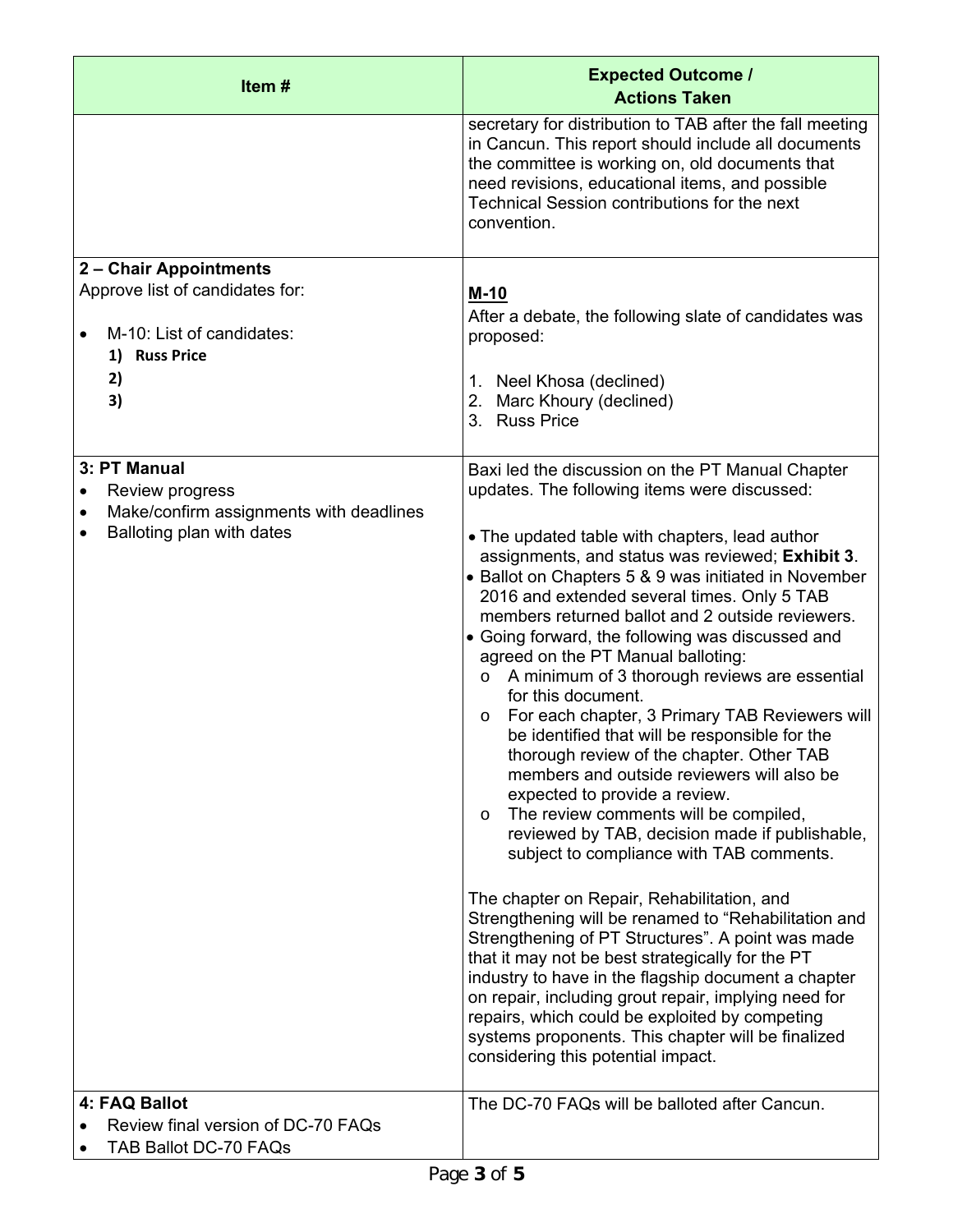| Item#                                                                                                                             | <b>Expected Outcome /</b><br><b>Actions Taken</b>                                                                                                                                                                                                                                                                                                                                                                                                                                                                                                                                                                                                                                                                                                                                                                                                                                                                                                                                                                                                                                                                                                                                                                                                                                                                                                                                                                |
|-----------------------------------------------------------------------------------------------------------------------------------|------------------------------------------------------------------------------------------------------------------------------------------------------------------------------------------------------------------------------------------------------------------------------------------------------------------------------------------------------------------------------------------------------------------------------------------------------------------------------------------------------------------------------------------------------------------------------------------------------------------------------------------------------------------------------------------------------------------------------------------------------------------------------------------------------------------------------------------------------------------------------------------------------------------------------------------------------------------------------------------------------------------------------------------------------------------------------------------------------------------------------------------------------------------------------------------------------------------------------------------------------------------------------------------------------------------------------------------------------------------------------------------------------------------|
|                                                                                                                                   | secretary for distribution to TAB after the fall meeting<br>in Cancun. This report should include all documents<br>the committee is working on, old documents that<br>need revisions, educational items, and possible<br>Technical Session contributions for the next<br>convention.                                                                                                                                                                                                                                                                                                                                                                                                                                                                                                                                                                                                                                                                                                                                                                                                                                                                                                                                                                                                                                                                                                                             |
| 2 – Chair Appointments<br>Approve list of candidates for:<br>M-10: List of candidates:<br>1) Russ Price<br>2)<br>3)               | $M-10$<br>After a debate, the following slate of candidates was<br>proposed:<br>1. Neel Khosa (declined)<br>2. Marc Khoury (declined)<br>3. Russ Price                                                                                                                                                                                                                                                                                                                                                                                                                                                                                                                                                                                                                                                                                                                                                                                                                                                                                                                                                                                                                                                                                                                                                                                                                                                           |
| 3: PT Manual<br>Review progress<br>$\bullet$<br>Make/confirm assignments with deadlines<br>$\bullet$<br>Balloting plan with dates | Baxi led the discussion on the PT Manual Chapter<br>updates. The following items were discussed:<br>• The updated table with chapters, lead author<br>assignments, and status was reviewed; Exhibit 3.<br>• Ballot on Chapters 5 & 9 was initiated in November<br>2016 and extended several times. Only 5 TAB<br>members returned ballot and 2 outside reviewers.<br>• Going forward, the following was discussed and<br>agreed on the PT Manual balloting:<br>A minimum of 3 thorough reviews are essential<br>$\circ$<br>for this document.<br>For each chapter, 3 Primary TAB Reviewers will<br>$\circ$<br>be identified that will be responsible for the<br>thorough review of the chapter. Other TAB<br>members and outside reviewers will also be<br>expected to provide a review.<br>The review comments will be compiled,<br>O<br>reviewed by TAB, decision made if publishable,<br>subject to compliance with TAB comments.<br>The chapter on Repair, Rehabilitation, and<br>Strengthening will be renamed to "Rehabilitation and<br>Strengthening of PT Structures". A point was made<br>that it may not be best strategically for the PT<br>industry to have in the flagship document a chapter<br>on repair, including grout repair, implying need for<br>repairs, which could be exploited by competing<br>systems proponents. This chapter will be finalized<br>considering this potential impact. |
| 4: FAQ Ballot<br>Review final version of DC-70 FAQs<br>TAB Ballot DC-70 FAQs                                                      | The DC-70 FAQs will be balloted after Cancun.                                                                                                                                                                                                                                                                                                                                                                                                                                                                                                                                                                                                                                                                                                                                                                                                                                                                                                                                                                                                                                                                                                                                                                                                                                                                                                                                                                    |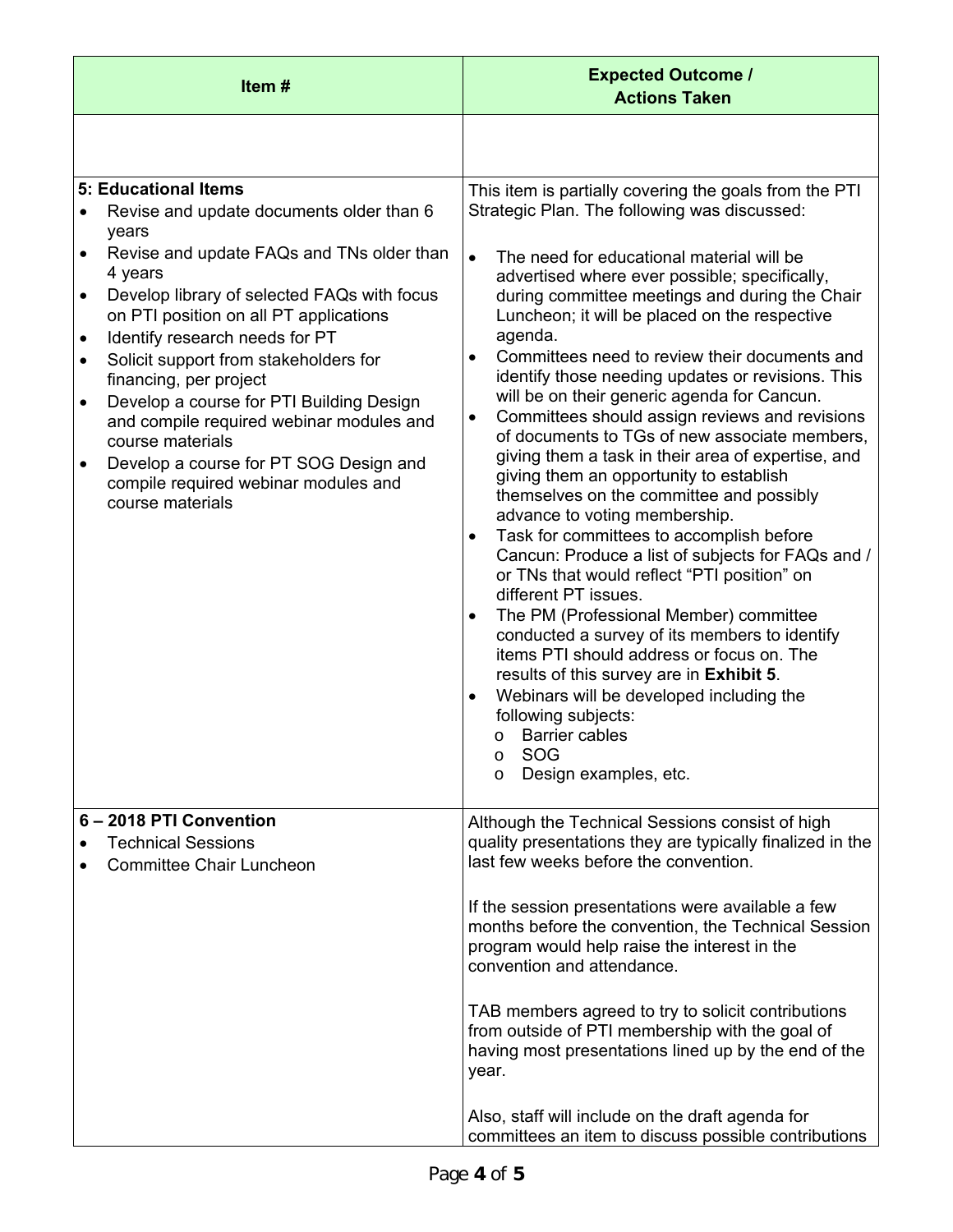| Item#                                                                                                                                                                                                                                                                                                                                                                                                                                                                                                                                                                                                                           | <b>Expected Outcome /</b><br><b>Actions Taken</b>                                                                                                                                                                                                                                                                                                                                                                                                                                                                                                                                                                                                                                                                                                                                                                                                                                                                                                                                                                                                                                                                                                                                                                                                                                                                                            |  |
|---------------------------------------------------------------------------------------------------------------------------------------------------------------------------------------------------------------------------------------------------------------------------------------------------------------------------------------------------------------------------------------------------------------------------------------------------------------------------------------------------------------------------------------------------------------------------------------------------------------------------------|----------------------------------------------------------------------------------------------------------------------------------------------------------------------------------------------------------------------------------------------------------------------------------------------------------------------------------------------------------------------------------------------------------------------------------------------------------------------------------------------------------------------------------------------------------------------------------------------------------------------------------------------------------------------------------------------------------------------------------------------------------------------------------------------------------------------------------------------------------------------------------------------------------------------------------------------------------------------------------------------------------------------------------------------------------------------------------------------------------------------------------------------------------------------------------------------------------------------------------------------------------------------------------------------------------------------------------------------|--|
|                                                                                                                                                                                                                                                                                                                                                                                                                                                                                                                                                                                                                                 |                                                                                                                                                                                                                                                                                                                                                                                                                                                                                                                                                                                                                                                                                                                                                                                                                                                                                                                                                                                                                                                                                                                                                                                                                                                                                                                                              |  |
| 5: Educational Items<br>Revise and update documents older than 6<br>years<br>Revise and update FAQs and TNs older than<br>$\bullet$<br>4 years<br>Develop library of selected FAQs with focus<br>$\bullet$<br>on PTI position on all PT applications<br>Identify research needs for PT<br>$\bullet$<br>Solicit support from stakeholders for<br>$\bullet$<br>financing, per project<br>Develop a course for PTI Building Design<br>$\bullet$<br>and compile required webinar modules and<br>course materials<br>Develop a course for PT SOG Design and<br>$\bullet$<br>compile required webinar modules and<br>course materials | This item is partially covering the goals from the PTI<br>Strategic Plan. The following was discussed:<br>$\bullet$<br>The need for educational material will be<br>advertised where ever possible; specifically,<br>during committee meetings and during the Chair<br>Luncheon; it will be placed on the respective<br>agenda.<br>Committees need to review their documents and<br>$\bullet$<br>identify those needing updates or revisions. This<br>will be on their generic agenda for Cancun.<br>Committees should assign reviews and revisions<br>$\bullet$<br>of documents to TGs of new associate members,<br>giving them a task in their area of expertise, and<br>giving them an opportunity to establish<br>themselves on the committee and possibly<br>advance to voting membership.<br>Task for committees to accomplish before<br>$\bullet$<br>Cancun: Produce a list of subjects for FAQs and /<br>or TNs that would reflect "PTI position" on<br>different PT issues.<br>The PM (Professional Member) committee<br>$\bullet$<br>conducted a survey of its members to identify<br>items PTI should address or focus on. The<br>results of this survey are in Exhibit 5.<br>Webinars will be developed including the<br>following subjects:<br><b>Barrier cables</b><br>$\circ$<br>SOG<br>O<br>Design examples, etc.<br>$\circ$ |  |
| 6-2018 PTI Convention<br><b>Technical Sessions</b><br><b>Committee Chair Luncheon</b>                                                                                                                                                                                                                                                                                                                                                                                                                                                                                                                                           | Although the Technical Sessions consist of high<br>quality presentations they are typically finalized in the<br>last few weeks before the convention.<br>If the session presentations were available a few<br>months before the convention, the Technical Session<br>program would help raise the interest in the<br>convention and attendance.<br>TAB members agreed to try to solicit contributions<br>from outside of PTI membership with the goal of<br>having most presentations lined up by the end of the<br>year.<br>Also, staff will include on the draft agenda for<br>committees an item to discuss possible contributions                                                                                                                                                                                                                                                                                                                                                                                                                                                                                                                                                                                                                                                                                                        |  |